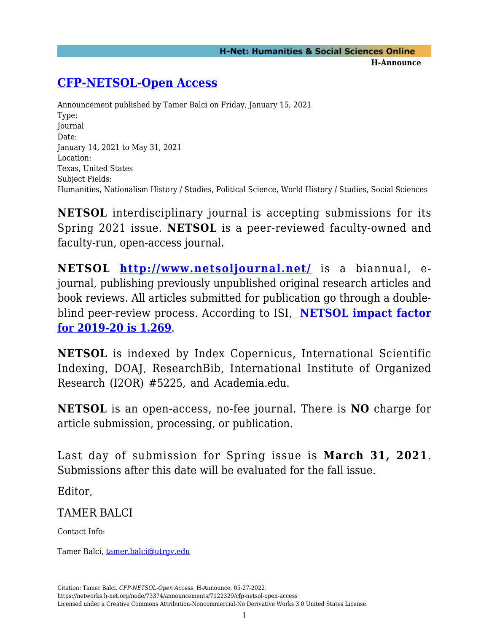## **[CFP-NETSOL-Open Access](https://networks.h-net.org/node/73374/announcements/7122329/cfp-netsol-open-access)**

Announcement published by Tamer Balci on Friday, January 15, 2021 Type: Journal Date: January 14, 2021 to May 31, 2021 Location: Texas, United States Subject Fields: Humanities, Nationalism History / Studies, Political Science, World History / Studies, Social Sciences

**NETSOL** interdisciplinary journal is accepting submissions for its Spring 2021 issue. **NETSOL** is a peer-reviewed faculty-owned and faculty-run, open-access journal.

**NETSOL<http://www.netsoljournal.net/>** is a biannual, ejournal, publishing previously unpublished original research articles and book reviews. All articles submitted for publication go through a doubleblind peer-review process. According to ISI, **[NETSOL impact factor](https://isindexing.com/isi/) [for 2019-20 is 1.](https://isindexing.com/isi/)269**.

**NETSOL** is indexed by Index Copernicus, International Scientific Indexing, DOAJ, ResearchBib, International Institute of Organized Research (I2OR) #5225, and [Academia.edu.](http://academia.edu/)

**NETSOL** is an open-access, no-fee journal. There is **NO** charge for article submission, processing, or publication.

Last day of submission for Spring issue is **March 31, 2021**. Submissions after this date will be evaluated for the fall issue.

Editor,

TAMER BALCI

Contact Info:

Tamer Balci, [tamer.balci@utrgv.edu](mailto:tamer.balci@utrgv.edu)

Citation: Tamer Balci. *CFP-NETSOL-Open Access*. H-Announce. 05-27-2022.

https://networks.h-net.org/node/73374/announcements/7122329/cfp-netsol-open-access Licensed under a Creative Commons Attribution-Noncommercial-No Derivative Works 3.0 United States License.